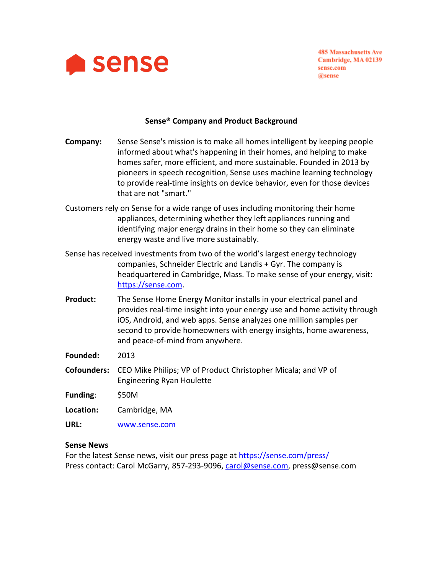

**485 Massachusetts Ave** Cambridge, MA 02139 sense.com @sense

# **Sense® Company and Product Background**

| Company:           | Sense Sense's mission is to make all homes intelligent by keeping people<br>informed about what's happening in their homes, and helping to make<br>homes safer, more efficient, and more sustainable. Founded in 2013 by<br>pioneers in speech recognition, Sense uses machine learning technology<br>to provide real-time insights on device behavior, even for those devices<br>that are not "smart." |
|--------------------|---------------------------------------------------------------------------------------------------------------------------------------------------------------------------------------------------------------------------------------------------------------------------------------------------------------------------------------------------------------------------------------------------------|
|                    | Customers rely on Sense for a wide range of uses including monitoring their home<br>appliances, determining whether they left appliances running and<br>identifying major energy drains in their home so they can eliminate<br>energy waste and live more sustainably.                                                                                                                                  |
|                    | Sense has received investments from two of the world's largest energy technology<br>companies, Schneider Electric and Landis + Gyr. The company is<br>headquartered in Cambridge, Mass. To make sense of your energy, visit:<br>https://sense.com.                                                                                                                                                      |
| <b>Product:</b>    | The Sense Home Energy Monitor installs in your electrical panel and<br>provides real-time insight into your energy use and home activity through<br>iOS, Android, and web apps. Sense analyzes one million samples per<br>second to provide homeowners with energy insights, home awareness,<br>and peace-of-mind from anywhere.                                                                        |
| Founded:           | 2013                                                                                                                                                                                                                                                                                                                                                                                                    |
| <b>Cofounders:</b> | CEO Mike Philips; VP of Product Christopher Micala; and VP of<br><b>Engineering Ryan Houlette</b>                                                                                                                                                                                                                                                                                                       |
| Funding:           | \$50M                                                                                                                                                                                                                                                                                                                                                                                                   |
| Location:          | Cambridge, MA                                                                                                                                                                                                                                                                                                                                                                                           |

**URL:** [www.sense.com](http://www.sense.com/)

#### **Sense News**

For the latest Sense news, visit our press page at<https://sense.com/press/> Press contact: Carol McGarry, 857-293-9096, [carol@sense.com,](mailto:carol@sense.com) press@sense.com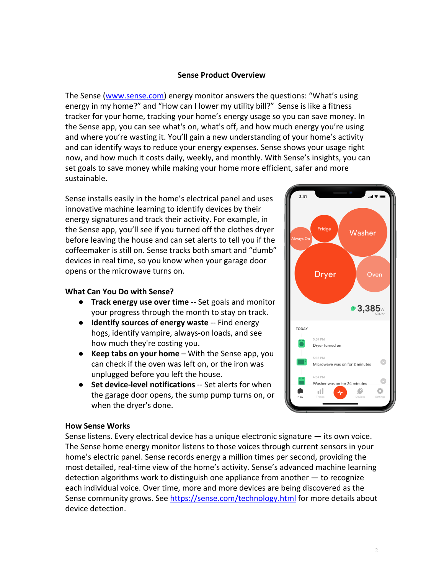#### **Sense Product Overview**

The Sense ([www.sense.com](http://www.sense.com/)) energy monitor answers the questions: "What's using energy in my home?" and "How can I lower my utility bill?" Sense is like a fitness tracker for your home, tracking your home's energy usage so you can save money. In the Sense app, you can see what's on, what's off, and how much energy you're using and where you're wasting it. You'll gain a new understanding of your home's activity and can identify ways to reduce your energy expenses. Sense shows your usage right now, and how much it costs daily, weekly, and monthly. With Sense's insights, you can set goals to save money while making your home more efficient, safer and more sustainable.

Sense installs easily in the home's electrical panel and uses innovative machine learning to identify devices by their energy signatures and track their activity. For example, in the Sense app, you'll see if you turned off the clothes dryer before leaving the house and can set alerts to tell you if the coffeemaker is still on. Sense tracks both smart and "dumb" devices in real time, so you know when your garage door opens or the microwave turns on.

## **What Can You Do with Sense?**

- **Track energy use over time** -- Set goals and monitor your progress through the month to stay on track.
- **Identify sources of energy waste** -- Find energy hogs, identify vampire, always-on loads, and see how much they're costing you.
- **Keep tabs on your home** With the Sense app, you can check if the oven was left on, or the iron was unplugged before you left the house.
- **Set device-level notifications** -- Set alerts for when the garage door opens, the sump pump turns on, or when the dryer's done.

# $2:41$ Fridge Washer **Dryer** Oven  $*3,385$ <sub>W</sub> **TODAY** 5:54 PM Dryer turned on 5:36 PM  $\bullet$ Microwave was on for 2 minutes  $4.54 \mu$  $\bullet$ was on for 24 minutes пH

#### **How Sense Works**

Sense listens. Every electrical device has a unique electronic signature — its own voice. The Sense home energy monitor listens to those voices through current sensors in your home's electric panel. Sense records energy a million times per second, providing the most detailed, real-time view of the home's activity. Sense's advanced machine learning detection algorithms work to distinguish one appliance from another — to recognize each individual voice. Over time, more and more devices are being discovered as the Sense community grows. See <https://sense.com/technology.html>for more details about device detection.